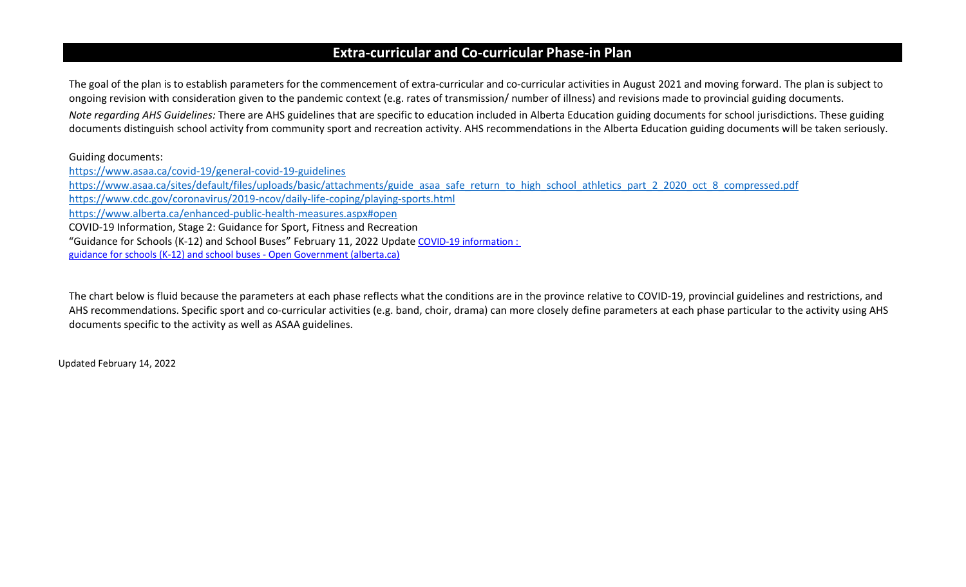## **Extra-curricular and Co-curricular Phase-in Plan**

The goal of the plan is to establish parameters for the commencement of extra-curricular and co-curricular activities in August 2021 and moving forward. The plan is subject to ongoing revision with consideration given to the pandemic context (e.g. rates of transmission/ number of illness) and revisions made to provincial guiding documents. *Note regarding AHS Guidelines:* There are AHS guidelines that are specific to education included in Alberta Education guiding documents for school jurisdictions. These guiding documents distinguish school activity from community sport and recreation activity. AHS recommendations in the Alberta Education guiding documents will be taken seriously.

## Guiding documents:

<https://www.asaa.ca/covid-19/general-covid-19-guidelines> [https://www.asaa.ca/sites/default/files/uploads/basic/attachments/guide\\_asaa\\_safe\\_return\\_to\\_high\\_school\\_athletics\\_part\\_2\\_2020\\_oct\\_8\\_compressed.pdf](https://www.asaa.ca/sites/default/files/uploads/basic/attachments/guide_asaa_safe_return_to_high_school_athletics_part_2_2020_oct_8_compressed.pdf) <https://www.cdc.gov/coronavirus/2019-ncov/daily-life-coping/playing-sports.html> <https://www.alberta.ca/enhanced-public-health-measures.aspx#open> COVID-19 Information, Stage 2: Guidance for Sport, Fitness and Recreation "Guidance for Schools (K-12) and School Buses" February 11, 2022 Update [COVID-19 information :](https://open.alberta.ca/publications/covid-19-information-guidance-for-schools-k12-school-buses)  [guidance for schools \(K-12\) and school buses -](https://open.alberta.ca/publications/covid-19-information-guidance-for-schools-k12-school-buses) Open Government (alberta.ca)

The chart below is fluid because the parameters at each phase reflects what the conditions are in the province relative to COVID-19, provincial guidelines and restrictions, and AHS recommendations. Specific sport and co-curricular activities (e.g. band, choir, drama) can more closely define parameters at each phase particular to the activity using AHS documents specific to the activity as well as ASAA guidelines.

Updated February 14, 2022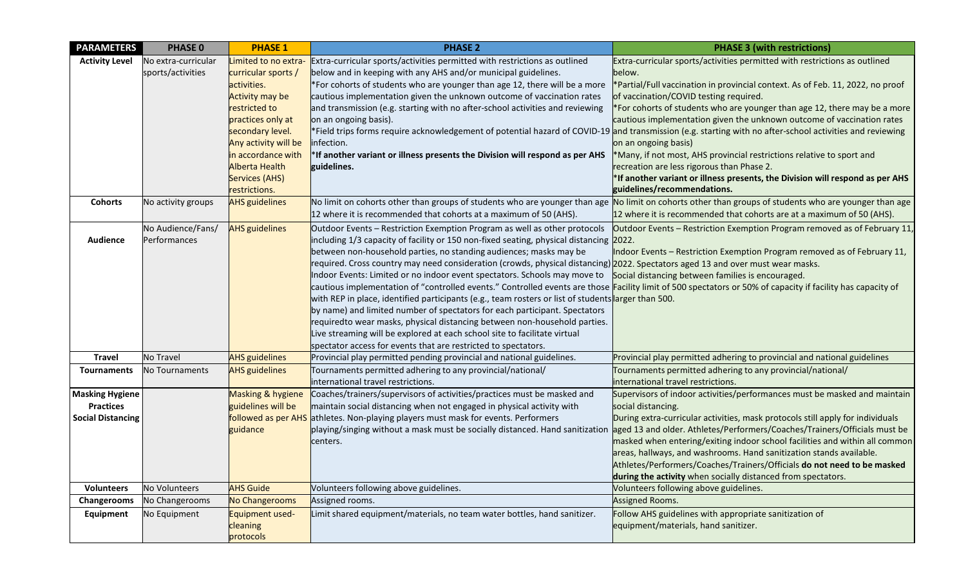| <b>PARAMETERS</b>                                                      | <b>PHASE 0</b>                           | <b>PHASE 1</b>                                                                                                                                                                                                                                           | <b>PHASE 2</b>                                                                                                                                                                                                                                                                                                                                                                                                                                                                                                                                                                                                                                                                                                                                                                                                                                                                                                                                                                                                                           | <b>PHASE 3 (with restrictions)</b>                                                                                                                                                                                                                                                                                                                                                                                                                                                                                                                                                                                                     |
|------------------------------------------------------------------------|------------------------------------------|----------------------------------------------------------------------------------------------------------------------------------------------------------------------------------------------------------------------------------------------------------|------------------------------------------------------------------------------------------------------------------------------------------------------------------------------------------------------------------------------------------------------------------------------------------------------------------------------------------------------------------------------------------------------------------------------------------------------------------------------------------------------------------------------------------------------------------------------------------------------------------------------------------------------------------------------------------------------------------------------------------------------------------------------------------------------------------------------------------------------------------------------------------------------------------------------------------------------------------------------------------------------------------------------------------|----------------------------------------------------------------------------------------------------------------------------------------------------------------------------------------------------------------------------------------------------------------------------------------------------------------------------------------------------------------------------------------------------------------------------------------------------------------------------------------------------------------------------------------------------------------------------------------------------------------------------------------|
| <b>Activity Level</b>                                                  | No extra-curricular<br>sports/activities | Limited to no extra-<br>curricular sports /<br>activities.<br><b>Activity may be</b><br>restricted to<br>practices only at<br>secondary level.<br>Any activity will be<br>in accordance with<br>Alberta Health<br><b>Services (AHS)</b><br>restrictions. | Extra-curricular sports/activities permitted with restrictions as outlined<br>below and in keeping with any AHS and/or municipal guidelines.<br>*For cohorts of students who are younger than age 12, there will be a more<br>cautious implementation given the unknown outcome of vaccination rates<br>and transmission (e.g. starting with no after-school activities and reviewing<br>on an ongoing basis).<br>*Field trips forms require acknowledgement of potential hazard of COVID-19 and transmission (e.g. starting with no after-school activities and reviewing<br>infection.<br>*If another variant or illness presents the Division will respond as per AHS<br>guidelines.                                                                                                                                                                                                                                                                                                                                                  | Extra-curricular sports/activities permitted with restrictions as outlined<br>below.<br>*Partial/Full vaccination in provincial context. As of Feb. 11, 2022, no proof<br>of vaccination/COVID testing required.<br>*For cohorts of students who are younger than age 12, there may be a more<br>cautious implementation given the unknown outcome of vaccination rates<br>on an ongoing basis)<br>*Many, if not most, AHS provincial restrictions relative to sport and<br>recreation are less rigorous than Phase 2.<br>*If another variant or illness presents, the Division will respond as per AHS<br>guidelines/recommendations. |
| <b>Cohorts</b>                                                         | No activity groups                       | <b>AHS</b> guidelines                                                                                                                                                                                                                                    | No limit on cohorts other than groups of students who are younger than age<br>12 where it is recommended that cohorts at a maximum of 50 (AHS).                                                                                                                                                                                                                                                                                                                                                                                                                                                                                                                                                                                                                                                                                                                                                                                                                                                                                          | No limit on cohorts other than groups of students who are younger than age<br>12 where it is recommended that cohorts are at a maximum of 50 (AHS).                                                                                                                                                                                                                                                                                                                                                                                                                                                                                    |
| <b>Audience</b>                                                        | No Audience/Fans/<br>Performances        | <b>AHS</b> guidelines                                                                                                                                                                                                                                    | Outdoor Events - Restriction Exemption Program as well as other protocols<br>including 1/3 capacity of facility or 150 non-fixed seating, physical distancing 2022.<br>between non-household parties, no standing audiences; masks may be<br>required. Cross country may need consideration (crowds, physical distancing) 2022. Spectators aged 13 and over must wear masks.<br>Indoor Events: Limited or no indoor event spectators. Schools may move to<br>cautious implementation of "controlled events." Controlled events are those Facility limit of 500 spectators or 50% of capacity if facility has capacity of<br>with REP in place, identified participants (e.g., team rosters or list of students arger than 500.<br>by name) and limited number of spectators for each participant. Spectators<br>requiredto wear masks, physical distancing between non-household parties.<br>Live streaming will be explored at each school site to facilitate virtual<br>spectator access for events that are restricted to spectators. | Outdoor Events - Restriction Exemption Program removed as of February 11,<br>Indoor Events - Restriction Exemption Program removed as of February 11,<br>Social distancing between families is encouraged.                                                                                                                                                                                                                                                                                                                                                                                                                             |
| <b>Travel</b>                                                          | No Travel                                | <b>AHS</b> guidelines                                                                                                                                                                                                                                    | Provincial play permitted pending provincial and national guidelines.                                                                                                                                                                                                                                                                                                                                                                                                                                                                                                                                                                                                                                                                                                                                                                                                                                                                                                                                                                    | Provincial play permitted adhering to provincial and national guidelines                                                                                                                                                                                                                                                                                                                                                                                                                                                                                                                                                               |
| <b>Tournaments</b>                                                     | No Tournaments                           | <b>AHS</b> guidelines                                                                                                                                                                                                                                    | Tournaments permitted adhering to any provincial/national/<br>international travel restrictions.                                                                                                                                                                                                                                                                                                                                                                                                                                                                                                                                                                                                                                                                                                                                                                                                                                                                                                                                         | Tournaments permitted adhering to any provincial/national/<br>international travel restrictions.                                                                                                                                                                                                                                                                                                                                                                                                                                                                                                                                       |
| <b>Masking Hygiene</b><br><b>Practices</b><br><b>Social Distancing</b> |                                          | Masking & hygiene<br>guidelines will be<br>guidance                                                                                                                                                                                                      | Coaches/trainers/supervisors of activities/practices must be masked and<br>maintain social distancing when not engaged in physical activity with<br>followed as per AHS athletes. Non-playing players must mask for events. Performers<br>playing/singing without a mask must be socially distanced. Hand sanitization<br>centers.                                                                                                                                                                                                                                                                                                                                                                                                                                                                                                                                                                                                                                                                                                       | Supervisors of indoor activities/performances must be masked and maintain<br>social distancing.<br>During extra-curricular activities, mask protocols still apply for individuals<br>aged 13 and older. Athletes/Performers/Coaches/Trainers/Officials must be<br>masked when entering/exiting indoor school facilities and within all common<br>areas, hallways, and washrooms. Hand sanitization stands available.<br>Athletes/Performers/Coaches/Trainers/Officials do not need to be masked<br>during the activity when socially distanced from spectators.                                                                        |
| <b>Volunteers</b>                                                      | No Volunteers                            | <b>AHS Guide</b>                                                                                                                                                                                                                                         | Volunteers following above guidelines.                                                                                                                                                                                                                                                                                                                                                                                                                                                                                                                                                                                                                                                                                                                                                                                                                                                                                                                                                                                                   | Volunteers following above guidelines.                                                                                                                                                                                                                                                                                                                                                                                                                                                                                                                                                                                                 |
| <b>Changerooms</b>                                                     | No Changerooms                           | <b>No Changerooms</b>                                                                                                                                                                                                                                    | Assigned rooms.                                                                                                                                                                                                                                                                                                                                                                                                                                                                                                                                                                                                                                                                                                                                                                                                                                                                                                                                                                                                                          | Assigned Rooms.                                                                                                                                                                                                                                                                                                                                                                                                                                                                                                                                                                                                                        |
| Equipment                                                              | No Equipment                             | Equipment used-<br>cleaning<br>protocols                                                                                                                                                                                                                 | Limit shared equipment/materials, no team water bottles, hand sanitizer.                                                                                                                                                                                                                                                                                                                                                                                                                                                                                                                                                                                                                                                                                                                                                                                                                                                                                                                                                                 | Follow AHS guidelines with appropriate sanitization of<br>equipment/materials, hand sanitizer.                                                                                                                                                                                                                                                                                                                                                                                                                                                                                                                                         |